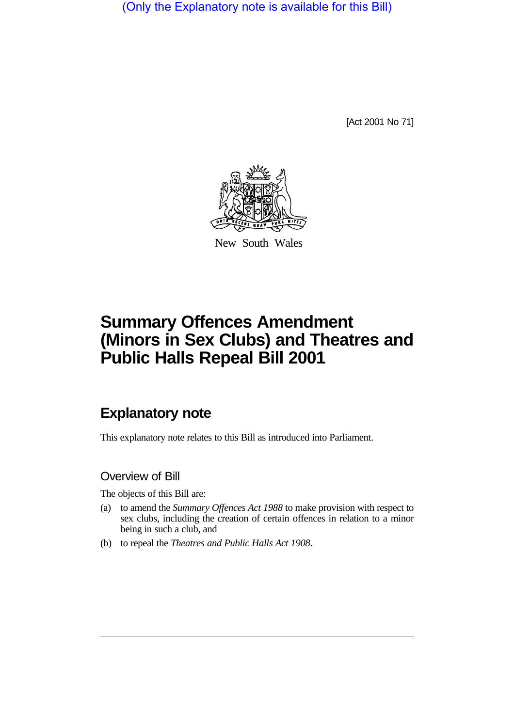(Only the Explanatory note is available for this Bill)

[Act 2001 No 71]



New South Wales

# **Summary Offences Amendment (Minors in Sex Clubs) and Theatres and Public Halls Repeal Bill 2001**

# **Explanatory note**

This explanatory note relates to this Bill as introduced into Parliament.

## Overview of Bill

The objects of this Bill are:

- (a) to amend the *Summary Offences Act 1988* to make provision with respect to sex clubs, including the creation of certain offences in relation to a minor being in such a club, and
- (b) to repeal the *Theatres and Public Halls Act 1908*.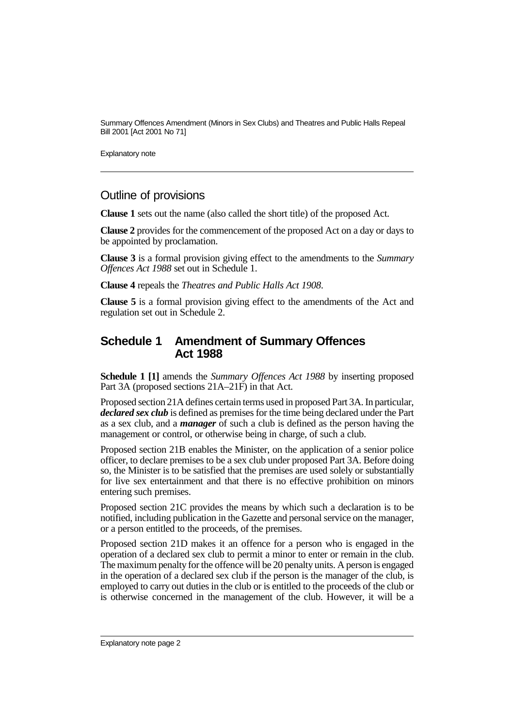Summary Offences Amendment (Minors in Sex Clubs) and Theatres and Public Halls Repeal Bill 2001 [Act 2001 No 71]

Explanatory note

#### Outline of provisions

**Clause 1** sets out the name (also called the short title) of the proposed Act.

**Clause 2** provides for the commencement of the proposed Act on a day or days to be appointed by proclamation.

**Clause 3** is a formal provision giving effect to the amendments to the *Summary Offences Act 1988* set out in Schedule 1.

**Clause 4** repeals the *Theatres and Public Halls Act 1908*.

**Clause 5** is a formal provision giving effect to the amendments of the Act and regulation set out in Schedule 2.

### **Schedule 1 Amendment of Summary Offences Act 1988**

**Schedule 1 [1]** amends the *Summary Offences Act 1988* by inserting proposed Part 3A (proposed sections 21A–21F) in that Act.

Proposed section 21A defines certain terms used in proposed Part 3A. In particular, *declared sex club* is defined as premises for the time being declared under the Part as a sex club, and a *manager* of such a club is defined as the person having the management or control, or otherwise being in charge, of such a club.

Proposed section 21B enables the Minister, on the application of a senior police officer, to declare premises to be a sex club under proposed Part 3A. Before doing so, the Minister is to be satisfied that the premises are used solely or substantially for live sex entertainment and that there is no effective prohibition on minors entering such premises.

Proposed section 21C provides the means by which such a declaration is to be notified, including publication in the Gazette and personal service on the manager, or a person entitled to the proceeds, of the premises.

Proposed section 21D makes it an offence for a person who is engaged in the operation of a declared sex club to permit a minor to enter or remain in the club. The maximum penalty for the offence will be 20 penalty units. A person is engaged in the operation of a declared sex club if the person is the manager of the club, is employed to carry out duties in the club or is entitled to the proceeds of the club or is otherwise concerned in the management of the club. However, it will be a